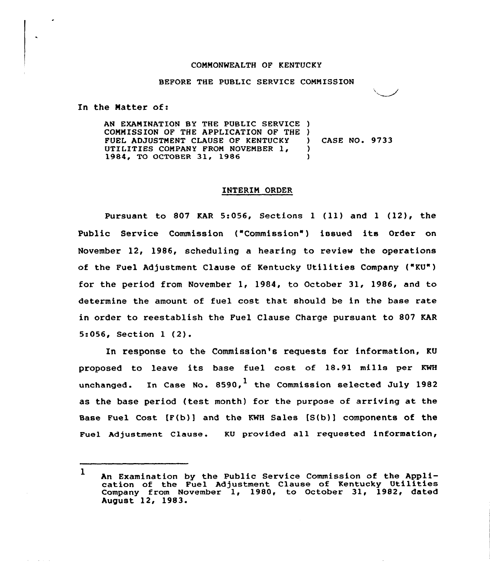### COMMONWEALTH OF KENTUCKY

#### BEFORE THE PUBLIC SERVICE COMMISSION

In the Natter of:

AN EXAMINATION BY THE PUBLIC SERVICE ) COMMISSION OF THE APPLICATION OF THE )<br>FUEL ADJUSTMENT CLAUSE OF KENTUCKY FUEL ADJUSTMENT CLAUSE OF KENTUCKY (1) UTILITIES COMPANY FROM NOVEMBER 1, (2014) 1984, TQ OCTOBER 31, 1986 ) CASE NO. 9733

### INTERIM ORDER

Pursuant to 807 KAR 5:056, Sections 1 (11) and 1 (12), the Public Service Commission ("Commission") issued its Order on November 12, 1986, scheduling a hearing to review the operations of the Fuel Adjustment Clause of Kentucky Utilities Company ("KU") for the period from November 1, 1984, to October 31, 1986, and to determine the amount of fuel cost that should be in the base rate in order to reestablish the Fuel Clause Charge pursuant to 807 KAR 5:056, Section <sup>1</sup> (2).

In response to the Commission's requests for information, KU proposed to leave its base fuel cost of 18.91 mills per KWH unchanged. In Case No.  $8590$ , the Commission selected July 1982 as the base period (test month) for the purpose of arriving at the Base Fuel cost (F(b)) and the KwH sales [s(b)) components of the Fuel Adjustment Clause. KU provided all requested information,

<sup>1</sup> An Examination by the Public Service Commission of the Application of the Fuel Adjustment Clause of Kentucky Utilities Company from November 1, 1980, to October 31, 1982, dated August 12, 1983.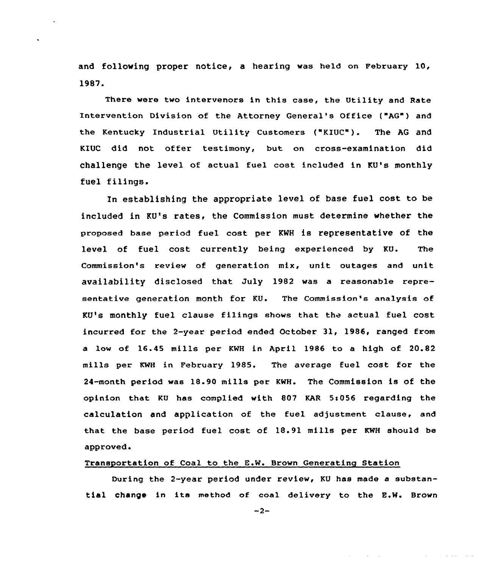and following proper notice, a hearing was held on February 10, 1987.

There were two intervenors in this case, the Utility and Rate Intervention Division of the Attorney General's Office ("AG") and the Kentucky Industrial Utility Customers ("KIUC"). The AG and KIUC did not offer testimony, but on cross-examination did challenge the level of actual fuel cost included in KU's monthly fuel filings.

In establishing the appropriate level of base fuel cost to be included in KU's rates, the Commission must determine whether the proposed base pexiod fuel cost per KWH is representative of the level of fuel cost currently being experienced by KU. The Commission's review cf generation mix, unit outages and unit availability disclosed that July 1982 was a reasonable representative generation month for KU. The Commission's analysis of KU's monthly fuel clause filings shows that the actual fuel cost incurred for the 2-year period ended October 31, 1986, ranged from a low of 16.45 mills pex KWH in April 1986 to a high of 20.82 mills per KWH in Februaxy 1985. The average fuel cost for the 24-month period was 18.90 mills per KWH. The Commission is of the opinion that KU has complied with 807 KAR  $5:056$  regarding the calculation and application of the fuel adjustment clause, and that the base period fuel cost of 18.91 mills per KWH should be approved.

# Transportation of Coal to the E.W. Brown Generating Station

During the 2-year period under review, KU has made a substantial change in its method of coal delivery to the E.W. Brown

 $-2-$ 

 $\Delta \sim 100$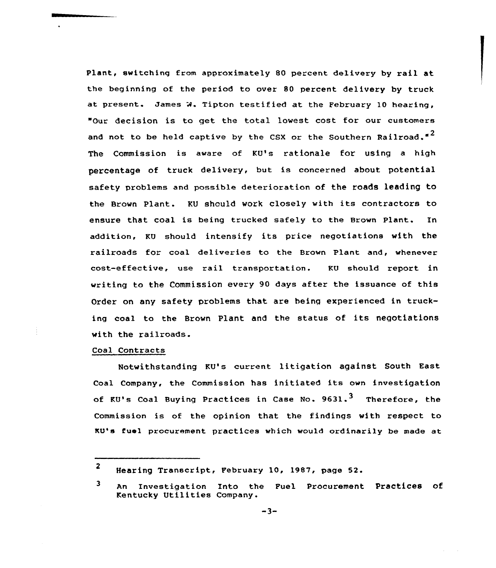Plant, switching from approximately 80 percent delivery by rail at the beginning of the period to over 80 percent delivery by truck at present. James W. Tipton testified at the February 10 hearing, "Our decision is to get the total lowest cost for our customers and not to be held captive by the CSX or the Southern Railroad."<sup>2</sup> The Commission is aware of KU's rationale for using a high percentage of truck delivery, but is concerned about potential safety problems and possible deterioration of the roads leading to the Brown Plant. KU should work closely with its contractors to ensure that coal is being trucked safely to the Brown Plant. In addition, KV should intensify its price negotiations with the railroads for coal deliveries to the Brown Plant and, whenever cost-effective, use rail transportation. KU should report in writing to the Commission every 90 days after the issuance of this Order on any safety problems that are being experienced in trucking coal to the Brown Plant and the status of its negotiations with the railroads.

## Coal Contracts

Notwithstanding KU's current litigation against South East Coal Company, the Commission has initiated its own investigation of KU's Coal Buying Practices in Case No. 9631.<sup>3</sup> Therefore, the Commission is of the opinion that the findings with respect to KU's fuel procurement practices which would ordinarily be made at

<sup>2</sup> Hearing Transcript, February 10, 1987, page 52.

 $\overline{\mathbf{3}}$ An Investigation Into the Fuel Procurement Practices of Kentucky Utilities Company.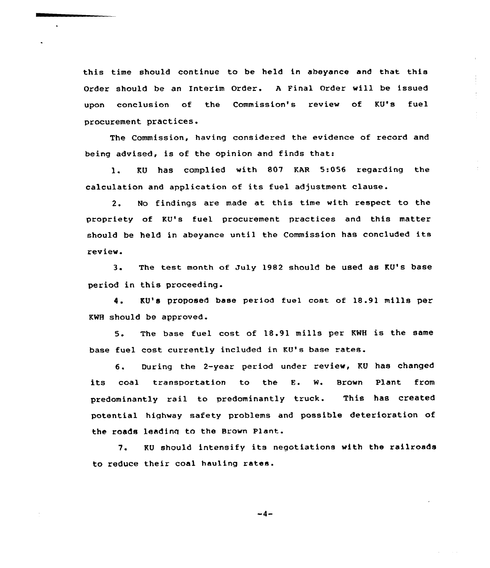this time should continue to be held in abeyance and that this Order should be an Interim Ordez . <sup>A</sup> Final Ordez will be issued upon conclusion of the Commission's review of KV's fuel procurement practices.

 $\ddot{\phantom{a}}$ 

The Commission, having considered the evidence of record and being advised, is of the opinion and finds that:

l. KU has complied with <sup>807</sup> KAR 5:056 regazding the calculation and application of its fuel adjustment clause.

2. No findings are made at this time with respect to the propriety of KV's fuel procurement practices and this matter should be held in abeyance until the Commission has concluded its review.

3. The test month of July 1982 should be used as KU's base period in this proceeding.

4. KU's proposed base period fuel cost of 18.91 mills per KMH should be approved.

5. The base fuel cost of 18.91 mills per KNH is the same base fuel cost currently included in KV's base rates.

6. During the 2-year period under review, KU has changed its coal transportation to the E. W. Brown Plant from predominantly rail to predominantly truck. This has created potential highway safety problems and possible detezioration of the roads leading to the Brown Plant.

7. KV should intensify its negotiations with the railroads to reduce their coal hauling rates.

$$
-4-
$$